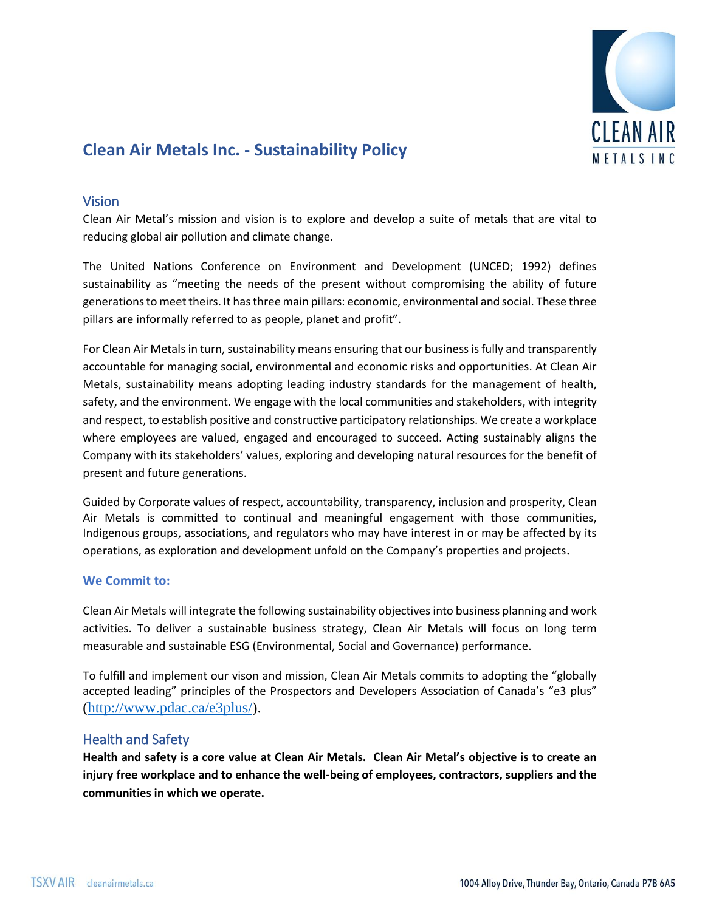

# **Clean Air Metals Inc. - Sustainability Policy**

## Vision

Clean Air Metal's mission and vision is to explore and develop a suite of metals that are vital to reducing global air pollution and climate change.

The United Nations Conference on Environment and Development (UNCED; 1992) defines sustainability as "meeting the needs of the present without compromising the ability of future generations to meet theirs. It has three main pillars: economic, environmental and social. These three pillars are informally referred to as people, planet and profit".

For Clean Air Metals in turn, sustainability means ensuring that our business is fully and transparently accountable for managing social, environmental and economic risks and opportunities. At Clean Air Metals, sustainability means adopting leading industry standards for the management of health, safety, and the environment. We engage with the local communities and stakeholders, with integrity and respect, to establish positive and constructive participatory relationships. We create a workplace where employees are valued, engaged and encouraged to succeed. Acting sustainably aligns the Company with its stakeholders' values, exploring and developing natural resources for the benefit of present and future generations.

Guided by Corporate values of respect, accountability, transparency, inclusion and prosperity, Clean Air Metals is committed to continual and meaningful engagement with those communities, Indigenous groups, associations, and regulators who may have interest in or may be affected by its operations, as exploration and development unfold on the Company's properties and projects.

## **We Commit to:**

Clean Air Metals will integrate the following sustainability objectives into business planning and work activities. To deliver a sustainable business strategy, Clean Air Metals will focus on long term measurable and sustainable ESG (Environmental, Social and Governance) performance.

To fulfill and implement our vison and mission, Clean Air Metals commits to adopting the "globally accepted leading" principles of the Prospectors and Developers Association of Canada's "e3 plus" [\(http://www.pdac.ca/e3plus/\)](http://www.pdac.ca/e3plus/).

# Health and Safety

**Health and safety is a core value at Clean Air Metals. Clean Air Metal's objective is to create an injury free workplace and to enhance the well-being of employees, contractors, suppliers and the communities in which we operate.**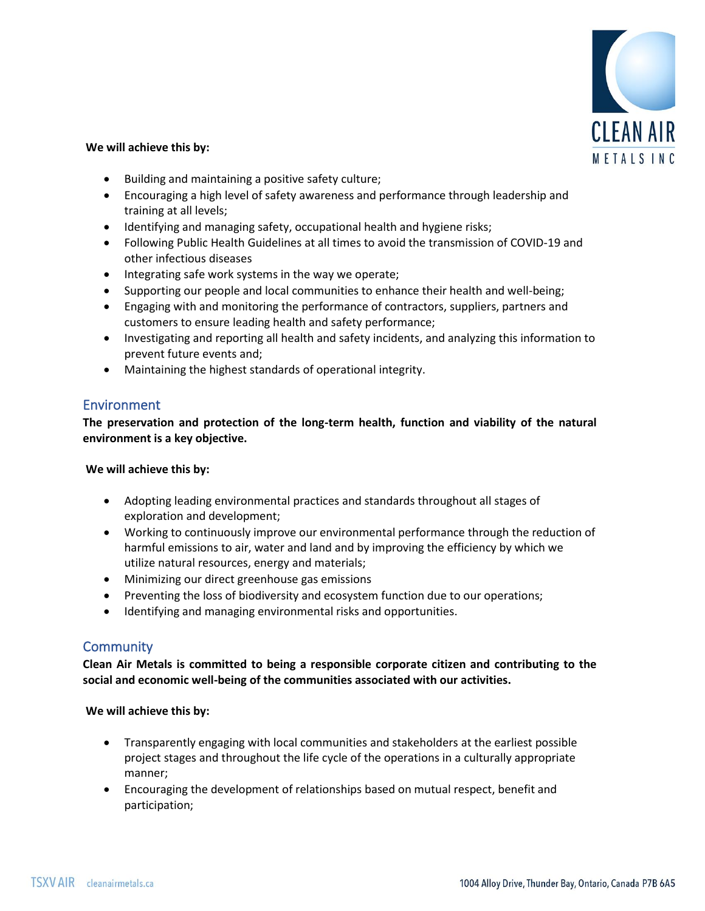

#### **We will achieve this by:**

- Building and maintaining a positive safety culture;
- Encouraging a high level of safety awareness and performance through leadership and training at all levels;
- Identifying and managing safety, occupational health and hygiene risks;
- Following Public Health Guidelines at all times to avoid the transmission of COVID-19 and other infectious diseases
- Integrating safe work systems in the way we operate;
- Supporting our people and local communities to enhance their health and well-being;
- Engaging with and monitoring the performance of contractors, suppliers, partners and customers to ensure leading health and safety performance;
- Investigating and reporting all health and safety incidents, and analyzing this information to prevent future events and;
- Maintaining the highest standards of operational integrity.

## Environment

**The preservation and protection of the long-term health, function and viability of the natural environment is a key objective.** 

#### **We will achieve this by:**

- Adopting leading environmental practices and standards throughout all stages of exploration and development;
- Working to continuously improve our environmental performance through the reduction of harmful emissions to air, water and land and by improving the efficiency by which we utilize natural resources, energy and materials;
- Minimizing our direct greenhouse gas emissions
- Preventing the loss of biodiversity and ecosystem function due to our operations;
- Identifying and managing environmental risks and opportunities.

## **Community**

**Clean Air Metals is committed to being a responsible corporate citizen and contributing to the social and economic well-being of the communities associated with our activities.** 

#### **We will achieve this by:**

- Transparently engaging with local communities and stakeholders at the earliest possible project stages and throughout the life cycle of the operations in a culturally appropriate manner;
- Encouraging the development of relationships based on mutual respect, benefit and participation;